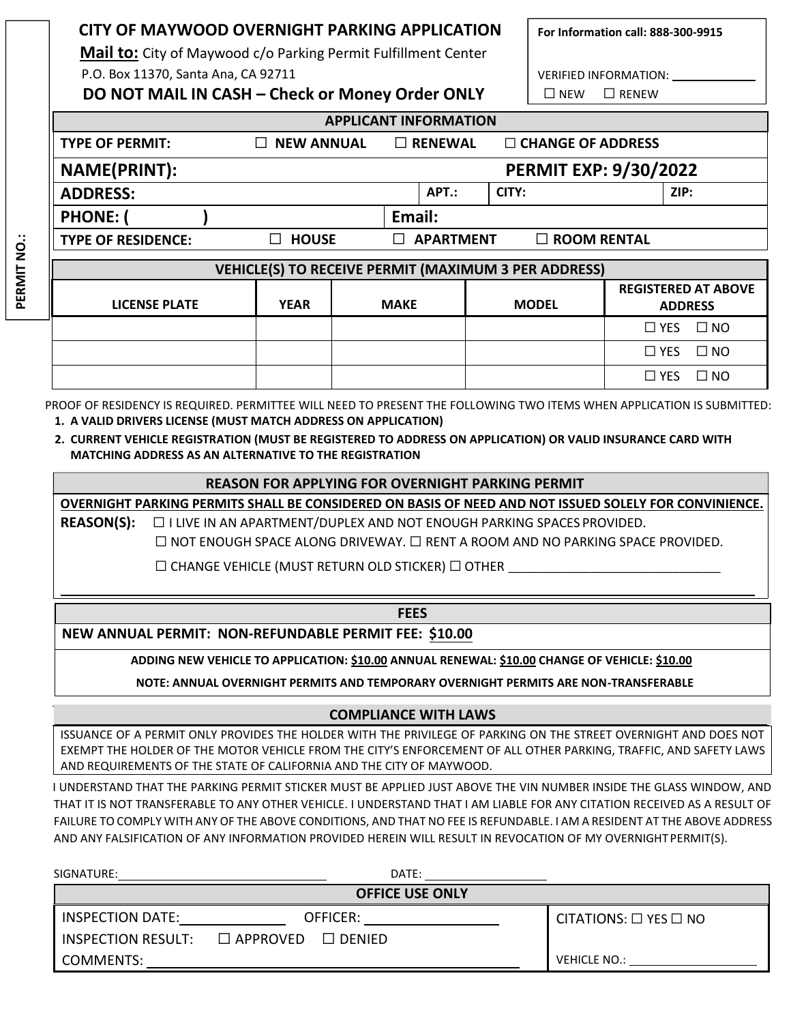| CITY OF MAYWOOD OVERNIGHT PARKING APPLICATION<br>For Information call: 888-300-9915<br><b>Mail to:</b> City of Maywood c/o Parking Permit Fulfillment Center |                   |             |  |                                            |                    |                               |                                              |  |              |
|--------------------------------------------------------------------------------------------------------------------------------------------------------------|-------------------|-------------|--|--------------------------------------------|--------------------|-------------------------------|----------------------------------------------|--|--------------|
| P.O. Box 11370, Santa Ana, CA 92711                                                                                                                          |                   |             |  |                                            |                    | VERIFIED INFORMATION:         |                                              |  |              |
| DO NOT MAIL IN CASH - Check or Money Order ONLY                                                                                                              |                   |             |  |                                            |                    | $\Box$ RENEW<br>$\square$ NEW |                                              |  |              |
| <b>APPLICANT INFORMATION</b>                                                                                                                                 |                   |             |  |                                            |                    |                               |                                              |  |              |
| <b>TYPE OF PERMIT:</b>                                                                                                                                       | $\Box$ NEW ANNUAL |             |  | $\Box$ CHANGE OF ADDRESS<br>$\Box$ RENEWAL |                    |                               |                                              |  |              |
| <b>NAME(PRINT):</b><br><b>PERMIT EXP: 9/30/2022</b>                                                                                                          |                   |             |  |                                            |                    |                               |                                              |  |              |
| <b>ADDRESS:</b>                                                                                                                                              |                   |             |  | APT.:                                      | CITY:              |                               | ZIP:                                         |  |              |
| Email:<br><b>PHONE:</b>                                                                                                                                      |                   |             |  |                                            |                    |                               |                                              |  |              |
| <b>TYPE OF RESIDENCE:</b>                                                                                                                                    | <b>HOUSE</b>      |             |  | <b>APARTMENT</b>                           | $\Box$ ROOM RENTAL |                               |                                              |  |              |
| VEHICLE(S) TO RECEIVE PERMIT (MAXIMUM 3 PER ADDRESS)                                                                                                         |                   |             |  |                                            |                    |                               |                                              |  |              |
| <b>LICENSE PLATE</b>                                                                                                                                         | <b>YEAR</b>       | <b>MAKE</b> |  |                                            | <b>MODEL</b>       |                               | <b>REGISTERED AT ABOVE</b><br><b>ADDRESS</b> |  |              |
|                                                                                                                                                              |                   |             |  |                                            |                    |                               | $\Box$ YES                                   |  | $\square$ NO |
|                                                                                                                                                              |                   |             |  |                                            |                    |                               | $\Box$ YES                                   |  | $\square$ NO |

PROOF OF RESIDENCY IS REQUIRED. PERMITTEE WILL NEED TO PRESENT THE FOLLOWING TWO ITEMS WHEN APPLICATION IS SUBMITTED: **1. A VALID DRIVERS LICENSE (MUST MATCH ADDRESS ON APPLICATION)**

# **2. CURRENT VEHICLE REGISTRATION (MUST BE REGISTERED TO ADDRESS ON APPLICATION) OR VALID INSURANCE CARD WITH MATCHING ADDRESS AS AN ALTERNATIVE TO THE REGISTRATION**

# **REASON FOR APPLYING FOR OVERNIGHT PARKING PERMIT**

**OVERNIGHT PARKING PERMITS SHALL BE CONSIDERED ON BASIS OF NEED AND NOT ISSUED SOLELY FOR CONVINIENCE. REASON(S):** ☐ I LIVE IN AN APARTMENT/DUPLEX AND NOT ENOUGH PARKING SPACES PROVIDED.

☐ NOT ENOUGH SPACE ALONG DRIVEWAY. ☐ RENT A ROOM AND NO PARKING SPACE PROVIDED.

☐ YES ☐ NO

 $\Box$  CHANGE VEHICLE (MUST RETURN OLD STICKER)  $\Box$  OTHER

## **FEES**

**NEW ANNUAL PERMIT: NON-REFUNDABLE PERMIT FEE: \$10.00**

**PERMIT NO.:**

PERMIT NO.:

**ADDING NEW VEHICLE TO APPLICATION: \$10.00 ANNUAL RENEWAL: \$10.00 CHANGE OF VEHICLE: \$10.00**

**NOTE: ANNUAL OVERNIGHT PERMITS AND TEMPORARY OVERNIGHT PERMITS ARE NON‐TRANSFERABLE**

# **COMPLIANCE WITH LAWS**

ISSUANCE OF A PERMIT ONLY PROVIDES THE HOLDER WITH THE PRIVILEGE OF PARKING ON THE STREET OVERNIGHT AND DOES NOT EXEMPT THE HOLDER OF THE MOTOR VEHICLE FROM THE CITY'S ENFORCEMENT OF ALL OTHER PARKING, TRAFFIC, AND SAFETY LAWS AND REQUIREMENTS OF THE STATE OF CALIFORNIA AND THE CITY OF MAYWOOD.

I UNDERSTAND THAT THE PARKING PERMIT STICKER MUST BE APPLIED JUST ABOVE THE VIN NUMBER INSIDE THE GLASS WINDOW, AND THAT IT IS NOT TRANSFERABLE TO ANY OTHER VEHICLE. I UNDERSTAND THAT I AM LIABLE FOR ANY CITATION RECEIVED AS A RESULT OF FAILURE TO COMPLY WITH ANY OF THE ABOVE CONDITIONS, AND THAT NO FEE IS REFUNDABLE. I AM A RESIDENT AT THE ABOVE ADDRESS AND ANY FALSIFICATION OF ANY INFORMATION PROVIDED HEREIN WILL RESULT IN REVOCATION OF MY OVERNIGHT PERMIT(S).

| SIGNATURE:                | DATE:                            |                                 |  |  |  |  |
|---------------------------|----------------------------------|---------------------------------|--|--|--|--|
| <b>OFFICE USE ONLY</b>    |                                  |                                 |  |  |  |  |
| <b>INSPECTION DATE:</b>   | OFFICER:                         | CITATIONS: $\Box$ YES $\Box$ NO |  |  |  |  |
| <b>INSPECTION RESULT:</b> | $\Box$ APPROVED<br>$\Box$ DENIED |                                 |  |  |  |  |
| COMMENTS:                 |                                  | VEHICLE NO.:                    |  |  |  |  |